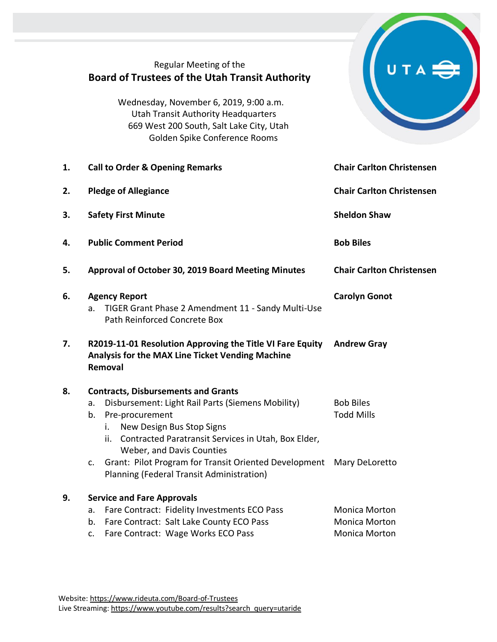|    | Regular Meeting of the<br><b>Board of Trustees of the Utah Transit Authority</b><br>Wednesday, November 6, 2019, 9:00 a.m.<br><b>Utah Transit Authority Headquarters</b><br>669 West 200 South, Salt Lake City, Utah<br>Golden Spike Conference Rooms     |                                                                      |
|----|-----------------------------------------------------------------------------------------------------------------------------------------------------------------------------------------------------------------------------------------------------------|----------------------------------------------------------------------|
| 1. | <b>Call to Order &amp; Opening Remarks</b>                                                                                                                                                                                                                | <b>Chair Carlton Christensen</b>                                     |
| 2. | <b>Pledge of Allegiance</b>                                                                                                                                                                                                                               | <b>Chair Carlton Christensen</b>                                     |
| З. | <b>Safety First Minute</b>                                                                                                                                                                                                                                | <b>Sheldon Shaw</b>                                                  |
| 4. | <b>Public Comment Period</b>                                                                                                                                                                                                                              | <b>Bob Biles</b>                                                     |
| 5. | Approval of October 30, 2019 Board Meeting Minutes                                                                                                                                                                                                        | <b>Chair Carlton Christensen</b>                                     |
| 6. | <b>Agency Report</b><br>TIGER Grant Phase 2 Amendment 11 - Sandy Multi-Use<br>a.<br>Path Reinforced Concrete Box                                                                                                                                          | <b>Carolyn Gonot</b>                                                 |
| 7. | R2019-11-01 Resolution Approving the Title VI Fare Equity<br>Analysis for the MAX Line Ticket Vending Machine<br>Removal                                                                                                                                  | <b>Andrew Gray</b>                                                   |
| 8. | <b>Contracts, Disbursements and Grants</b><br>Disbursement: Light Rail Parts (Siemens Mobility)<br>а.<br>b.<br>Pre-procurement<br>New Design Bus Stop Signs<br>İ.<br>ii. Contracted Paratransit Services in Utah, Box Elder,<br>Weber, and Davis Counties | <b>Bob Biles</b><br><b>Todd Mills</b>                                |
|    | Grant: Pilot Program for Transit Oriented Development<br>c.<br>Planning (Federal Transit Administration)                                                                                                                                                  | Mary DeLoretto                                                       |
| 9. | <b>Service and Fare Approvals</b><br>Fare Contract: Fidelity Investments ECO Pass<br>а.<br>Fare Contract: Salt Lake County ECO Pass<br>b.<br>Fare Contract: Wage Works ECO Pass<br>c.                                                                     | <b>Monica Morton</b><br><b>Monica Morton</b><br><b>Monica Morton</b> |